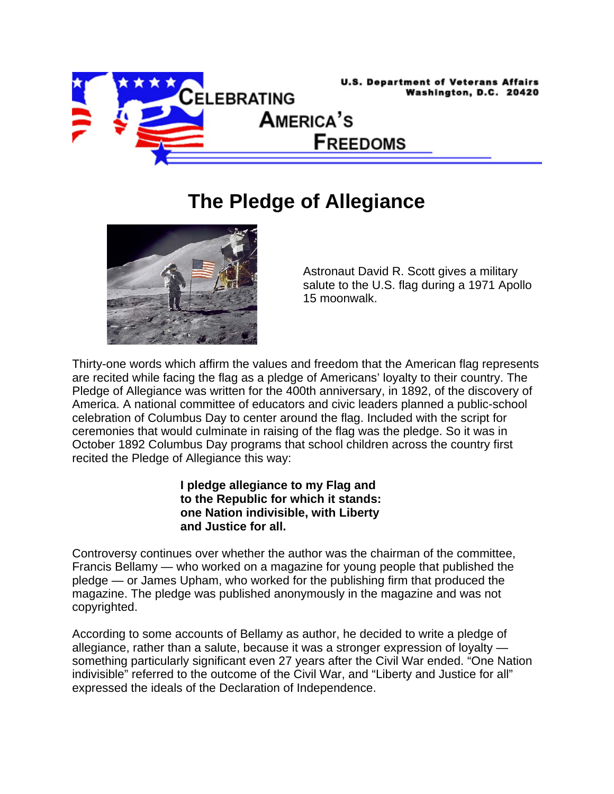

## **The Pledge of Allegiance**



Astronaut David R. Scott gives a military salute to the U.S. flag during a 1971 Apollo 15 moonwalk.

Thirty-one words which affirm the values and freedom that the American flag represents are recited while facing the flag as a pledge of Americans' loyalty to their country. The Pledge of Allegiance was written for the 400th anniversary, in 1892, of the discovery of America. A national committee of educators and civic leaders planned a public-school celebration of Columbus Day to center around the flag. Included with the script for ceremonies that would culminate in raising of the flag was the pledge. So it was in October 1892 Columbus Day programs that school children across the country first recited the Pledge of Allegiance this way:

> **I pledge allegiance to my Flag and to the Republic for which it stands: one Nation indivisible, with Liberty and Justice for all.**

Controversy continues over whether the author was the chairman of the committee, Francis Bellamy — who worked on a magazine for young people that published the pledge — or James Upham, who worked for the publishing firm that produced the magazine. The pledge was published anonymously in the magazine and was not copyrighted.

According to some accounts of Bellamy as author, he decided to write a pledge of allegiance, rather than a salute, because it was a stronger expression of loyalty something particularly significant even 27 years after the Civil War ended. "One Nation indivisible" referred to the outcome of the Civil War, and "Liberty and Justice for all" expressed the ideals of the Declaration of Independence.